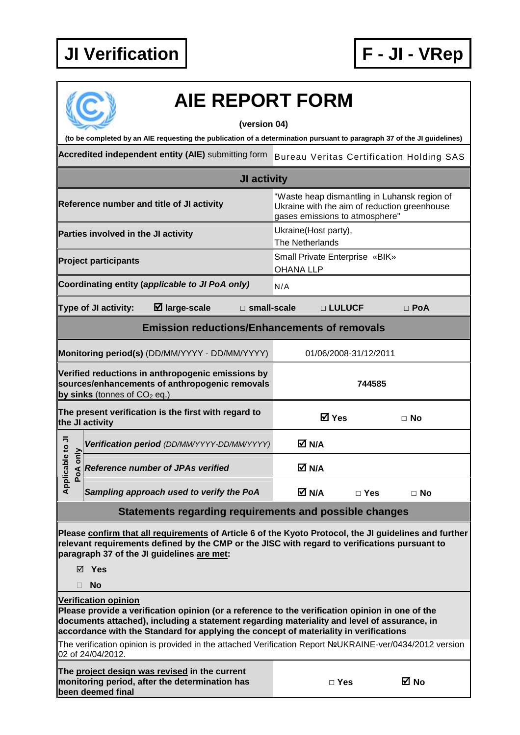

## **AIE REPORT FORM**

## **(version 04)**

**(to be completed by an AIE requesting the publication of a determination pursuant to paragraph 37 of the JI guidelines)** 

Accredited independent entity (AIE) submitting form Bureau Veritas Certification Holding SAS

| JI activity                                                                                                                                                                                                                                                                                                                                                                                                                        |                                                                                                                                |  |  |  |
|------------------------------------------------------------------------------------------------------------------------------------------------------------------------------------------------------------------------------------------------------------------------------------------------------------------------------------------------------------------------------------------------------------------------------------|--------------------------------------------------------------------------------------------------------------------------------|--|--|--|
| Reference number and title of JI activity                                                                                                                                                                                                                                                                                                                                                                                          | "Waste heap dismantling in Luhansk region of<br>Ukraine with the aim of reduction greenhouse<br>gases emissions to atmosphere" |  |  |  |
| Parties involved in the JI activity                                                                                                                                                                                                                                                                                                                                                                                                | Ukraine(Host party),<br>The Netherlands                                                                                        |  |  |  |
| <b>Project participants</b>                                                                                                                                                                                                                                                                                                                                                                                                        | Small Private Enterprise «BIK»<br><b>OHANA LLP</b>                                                                             |  |  |  |
| Coordinating entity (applicable to JI PoA only)                                                                                                                                                                                                                                                                                                                                                                                    | N/A                                                                                                                            |  |  |  |
| Type of JI activity:<br>$\boxtimes$ large-scale<br>$\square$ small-scale                                                                                                                                                                                                                                                                                                                                                           | □ LULUCF<br>$\Box$ PoA                                                                                                         |  |  |  |
| <b>Emission reductions/Enhancements of removals</b>                                                                                                                                                                                                                                                                                                                                                                                |                                                                                                                                |  |  |  |
| Monitoring period(s) (DD/MM/YYYY - DD/MM/YYYY)                                                                                                                                                                                                                                                                                                                                                                                     | 01/06/2008-31/12/2011                                                                                                          |  |  |  |
| Verified reductions in anthropogenic emissions by<br>sources/enhancements of anthropogenic removals<br>by sinks (tonnes of $CO2$ eq.)                                                                                                                                                                                                                                                                                              | 744585                                                                                                                         |  |  |  |
| The present verification is the first with regard to<br>the JI activity                                                                                                                                                                                                                                                                                                                                                            | <b>⊠</b> Yes<br>$\Box$ No                                                                                                      |  |  |  |
| Verification period (DD/MM/YYYY-DD/MM/YYYY)                                                                                                                                                                                                                                                                                                                                                                                        | M N/A                                                                                                                          |  |  |  |
| Applicable to JI<br>only<br><b>Reference number of JPAs verified</b>                                                                                                                                                                                                                                                                                                                                                               | M N/A                                                                                                                          |  |  |  |
| Sampling approach used to verify the PoA                                                                                                                                                                                                                                                                                                                                                                                           | M N/A<br>$\Box$ Yes<br>$\Box$ No                                                                                               |  |  |  |
| Statements regarding requirements and possible changes                                                                                                                                                                                                                                                                                                                                                                             |                                                                                                                                |  |  |  |
| Please confirm that all requirements of Article 6 of the Kyoto Protocol, the JI guidelines and further<br>relevant requirements defined by the CMP or the JISC with regard to verifications pursuant to<br>paragraph 37 of the JI guidelines are met:                                                                                                                                                                              |                                                                                                                                |  |  |  |
| ⊠ Yes                                                                                                                                                                                                                                                                                                                                                                                                                              |                                                                                                                                |  |  |  |
| <b>No</b><br>П                                                                                                                                                                                                                                                                                                                                                                                                                     |                                                                                                                                |  |  |  |
| <b>Verification opinion</b><br>Please provide a verification opinion (or a reference to the verification opinion in one of the<br>documents attached), including a statement regarding materiality and level of assurance, in<br>accordance with the Standard for applying the concept of materiality in verifications<br>The verification opinion is provided in the attached Verification Report NºUKRAINE-ver/0434/2012 version |                                                                                                                                |  |  |  |

02 of 24/04/2012.

**The project design was revised in the current monitoring period, after the determination has been deemed final** 

| ۰.<br>×<br>۰. |
|---------------|
|---------------|

**□ Yes No**